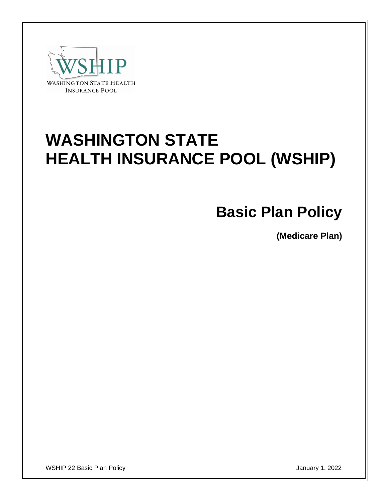

# **WASHINGTON STATE HEALTH INSURANCE POOL (WSHIP)**

## **Basic Plan Policy**

**(Medicare Plan)**

WSHIP 22 Basic Plan Policy January 1, 2022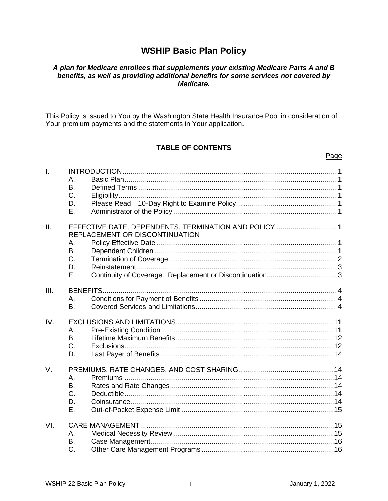## **WSHIP Basic Plan Policy**

#### A plan for Medicare enrollees that supplements your existing Medicare Parts A and B benefits, as well as providing additional benefits for some services not covered by Medicare.

This Policy is issued to You by the Washington State Health Insurance Pool in consideration of Your premium payments and the statements in Your application.

#### **TABLE OF CONTENTS**

#### L  $\Delta$  $B<sub>1</sub>$ C. D. Ε. EFFECTIVE DATE, DEPENDENTS, TERMINATION AND POLICY .............................. 1  $II.$ REPLACEMENT OR DISCONTINUATION A.  $B<sub>1</sub>$  $C_{\cdot}$ D. E.  $III.$ А.  $\mathsf{R}$  $W_{\cdot}$ Α. **B.**  $C_{\cdot}$ D. V.  $\mathsf{A}$  $B<sub>1</sub>$ C. D. Ε. VI. Α.

Page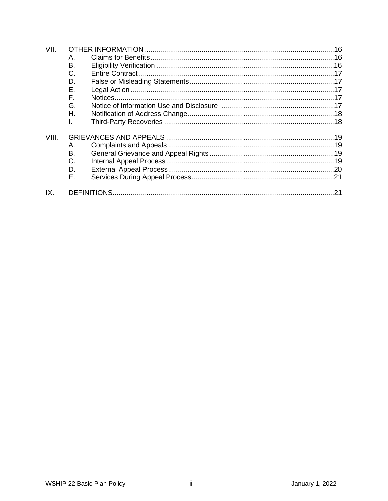| VII.  |    |  |  |
|-------|----|--|--|
|       | Α. |  |  |
|       | Β. |  |  |
|       | C. |  |  |
|       | D. |  |  |
|       | Е. |  |  |
|       | F. |  |  |
|       | G. |  |  |
|       | Η. |  |  |
|       | I. |  |  |
| VIII. |    |  |  |
|       | Α. |  |  |
|       | В. |  |  |
|       | C. |  |  |
|       | D. |  |  |
|       | Е. |  |  |
| IX.   |    |  |  |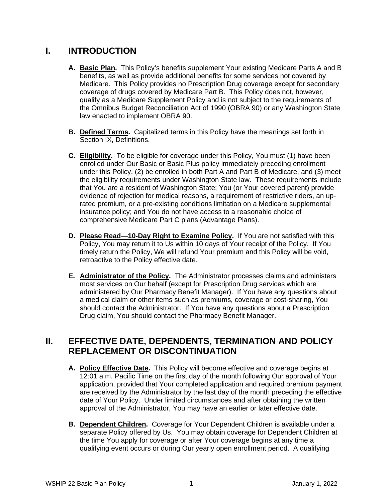## **I. INTRODUCTION**

- **A. Basic Plan.** This Policy's benefits supplement Your existing Medicare Parts A and B benefits, as well as provide additional benefits for some services not covered by Medicare. This Policy provides no Prescription Drug coverage except for secondary coverage of drugs covered by Medicare Part B. This Policy does not, however, qualify as a Medicare Supplement Policy and is not subject to the requirements of the Omnibus Budget Reconciliation Act of 1990 (OBRA 90) or any Washington State law enacted to implement OBRA 90.
- **B. Defined Terms.** Capitalized terms in this Policy have the meanings set forth in Section IX, Definitions.
- **C. Eligibility.** To be eligible for coverage under this Policy, You must (1) have been enrolled under Our Basic or Basic Plus policy immediately preceding enrollment under this Policy, (2) be enrolled in both Part A and Part B of Medicare, and (3) meet the eligibility requirements under Washington State law. These requirements include that You are a resident of Washington State; You (or Your covered parent) provide evidence of rejection for medical reasons, a requirement of restrictive riders, an uprated premium, or a pre-existing conditions limitation on a Medicare supplemental insurance policy; and You do not have access to a reasonable choice of comprehensive Medicare Part C plans (Advantage Plans).
- **D. Please Read—10-Day Right to Examine Policy.** If You are not satisfied with this Policy, You may return it to Us within 10 days of Your receipt of the Policy. If You timely return the Policy, We will refund Your premium and this Policy will be void, retroactive to the Policy effective date.
- **E. Administrator of the Policy.** The Administrator processes claims and administers most services on Our behalf (except for Prescription Drug services which are administered by Our Pharmacy Benefit Manager). If You have any questions about a medical claim or other items such as premiums, coverage or cost-sharing, You should contact the Administrator. If You have any questions about a Prescription Drug claim, You should contact the Pharmacy Benefit Manager.

## **II. EFFECTIVE DATE, DEPENDENTS, TERMINATION AND POLICY REPLACEMENT OR DISCONTINUATION**

- **A. Policy Effective Date.** This Policy will become effective and coverage begins at 12:01 a.m. Pacific Time on the first day of the month following Our approval of Your application, provided that Your completed application and required premium payment are received by the Administrator by the last day of the month preceding the effective date of Your Policy. Under limited circumstances and after obtaining the written approval of the Administrator, You may have an earlier or later effective date.
- **B. Dependent Children.** Coverage for Your Dependent Children is available under a separate Policy offered by Us. You may obtain coverage for Dependent Children at the time You apply for coverage or after Your coverage begins at any time a qualifying event occurs or during Our yearly open enrollment period. A qualifying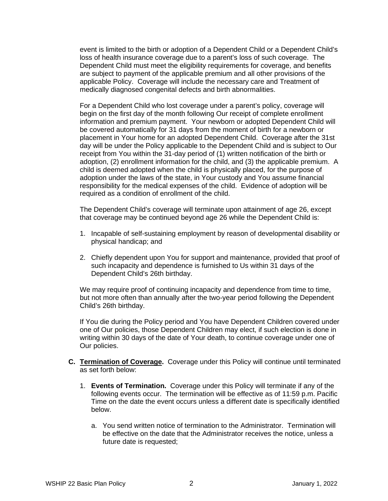event is limited to the birth or adoption of a Dependent Child or a Dependent Child's loss of health insurance coverage due to a parent's loss of such coverage. The Dependent Child must meet the eligibility requirements for coverage, and benefits are subject to payment of the applicable premium and all other provisions of the applicable Policy. Coverage will include the necessary care and Treatment of medically diagnosed congenital defects and birth abnormalities.

For a Dependent Child who lost coverage under a parent's policy, coverage will begin on the first day of the month following Our receipt of complete enrollment information and premium payment. Your newborn or adopted Dependent Child will be covered automatically for 31 days from the moment of birth for a newborn or placement in Your home for an adopted Dependent Child. Coverage after the 31st day will be under the Policy applicable to the Dependent Child and is subject to Our receipt from You within the 31-day period of (1) written notification of the birth or adoption, (2) enrollment information for the child, and (3) the applicable premium. A child is deemed adopted when the child is physically placed, for the purpose of adoption under the laws of the state, in Your custody and You assume financial responsibility for the medical expenses of the child. Evidence of adoption will be required as a condition of enrollment of the child.

The Dependent Child's coverage will terminate upon attainment of age 26, except that coverage may be continued beyond age 26 while the Dependent Child is:

- 1. Incapable of self-sustaining employment by reason of developmental disability or physical handicap; and
- 2. Chiefly dependent upon You for support and maintenance, provided that proof of such incapacity and dependence is furnished to Us within 31 days of the Dependent Child's 26th birthday.

We may require proof of continuing incapacity and dependence from time to time, but not more often than annually after the two-year period following the Dependent Child's 26th birthday.

If You die during the Policy period and You have Dependent Children covered under one of Our policies, those Dependent Children may elect, if such election is done in writing within 30 days of the date of Your death, to continue coverage under one of Our policies.

- **C. Termination of Coverage.** Coverage under this Policy will continue until terminated as set forth below:
	- 1. **Events of Termination.** Coverage under this Policy will terminate if any of the following events occur. The termination will be effective as of 11:59 p.m. Pacific Time on the date the event occurs unless a different date is specifically identified below.
		- a. You send written notice of termination to the Administrator. Termination will be effective on the date that the Administrator receives the notice, unless a future date is requested;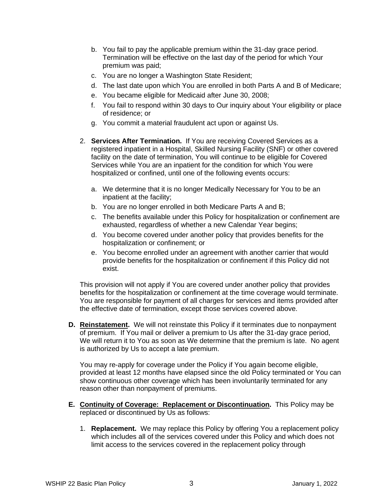- b. You fail to pay the applicable premium within the 31-day grace period. Termination will be effective on the last day of the period for which Your premium was paid;
- c. You are no longer a Washington State Resident;
- d. The last date upon which You are enrolled in both Parts A and B of Medicare;
- e. You became eligible for Medicaid after June 30, 2008;
- f. You fail to respond within 30 days to Our inquiry about Your eligibility or place of residence; or
- g. You commit a material fraudulent act upon or against Us.
- 2. **Services After Termination.** If You are receiving Covered Services as a registered inpatient in a Hospital, Skilled Nursing Facility (SNF) or other covered facility on the date of termination, You will continue to be eligible for Covered Services while You are an inpatient for the condition for which You were hospitalized or confined, until one of the following events occurs:
	- a. We determine that it is no longer Medically Necessary for You to be an inpatient at the facility;
	- b. You are no longer enrolled in both Medicare Parts A and B;
	- c. The benefits available under this Policy for hospitalization or confinement are exhausted, regardless of whether a new Calendar Year begins;
	- d. You become covered under another policy that provides benefits for the hospitalization or confinement; or
	- e. You become enrolled under an agreement with another carrier that would provide benefits for the hospitalization or confinement if this Policy did not exist.

This provision will not apply if You are covered under another policy that provides benefits for the hospitalization or confinement at the time coverage would terminate. You are responsible for payment of all charges for services and items provided after the effective date of termination, except those services covered above.

**D. Reinstatement.** We will not reinstate this Policy if it terminates due to nonpayment of premium. If You mail or deliver a premium to Us after the 31-day grace period, We will return it to You as soon as We determine that the premium is late. No agent is authorized by Us to accept a late premium.

You may re-apply for coverage under the Policy if You again become eligible, provided at least 12 months have elapsed since the old Policy terminated or You can show continuous other coverage which has been involuntarily terminated for any reason other than nonpayment of premiums.

- **E. Continuity of Coverage: Replacement or Discontinuation.** This Policy may be replaced or discontinued by Us as follows:
	- 1. **Replacement.** We may replace this Policy by offering You a replacement policy which includes all of the services covered under this Policy and which does not limit access to the services covered in the replacement policy through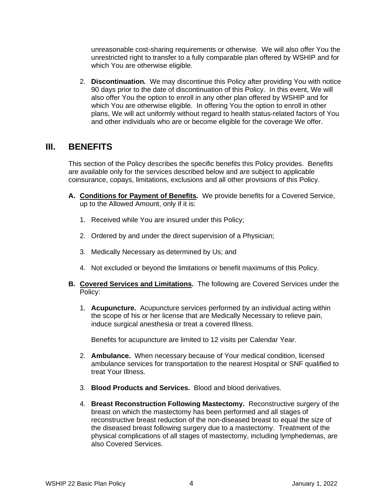unreasonable cost-sharing requirements or otherwise. We will also offer You the unrestricted right to transfer to a fully comparable plan offered by WSHIP and for which You are otherwise eligible.

2. **Discontinuation.** We may discontinue this Policy after providing You with notice 90 days prior to the date of discontinuation of this Policy. In this event, We will also offer You the option to enroll in any other plan offered by WSHIP and for which You are otherwise eligible. In offering You the option to enroll in other plans, We will act uniformly without regard to health status-related factors of You and other individuals who are or become eligible for the coverage We offer.

## **III. BENEFITS**

This section of the Policy describes the specific benefits this Policy provides. Benefits are available only for the services described below and are subject to applicable coinsurance, copays, limitations, exclusions and all other provisions of this Policy.

- **A. Conditions for Payment of Benefits.** We provide benefits for a Covered Service, up to the Allowed Amount, only if it is:
	- 1. Received while You are insured under this Policy;
	- 2. Ordered by and under the direct supervision of a Physician;
	- 3. Medically Necessary as determined by Us; and
	- 4. Not excluded or beyond the limitations or benefit maximums of this Policy.
- **B. Covered Services and Limitations.** The following are Covered Services under the Policy:
	- 1. **Acupuncture.** Acupuncture services performed by an individual acting within the scope of his or her license that are Medically Necessary to relieve pain, induce surgical anesthesia or treat a covered Illness.

Benefits for acupuncture are limited to 12 visits per Calendar Year.

- 2. **Ambulance.** When necessary because of Your medical condition, licensed ambulance services for transportation to the nearest Hospital or SNF qualified to treat Your Illness.
- 3. **Blood Products and Services.** Blood and blood derivatives.
- 4. **Breast Reconstruction Following Mastectomy.** Reconstructive surgery of the breast on which the mastectomy has been performed and all stages of reconstructive breast reduction of the non-diseased breast to equal the size of the diseased breast following surgery due to a mastectomy. Treatment of the physical complications of all stages of mastectomy, including lymphedemas, are also Covered Services.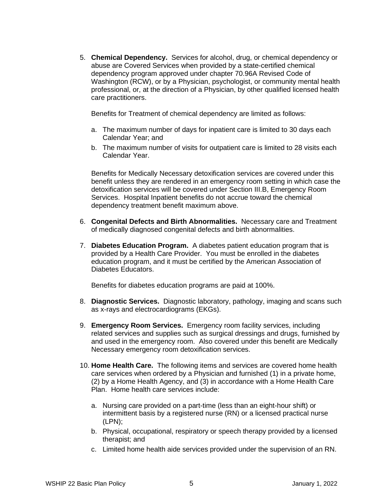5. **Chemical Dependency.** Services for alcohol, drug, or chemical dependency or abuse are Covered Services when provided by a state-certified chemical dependency program approved under chapter 70.96A Revised Code of Washington (RCW), or by a Physician, psychologist, or community mental health professional, or, at the direction of a Physician, by other qualified licensed health care practitioners.

Benefits for Treatment of chemical dependency are limited as follows:

- a. The maximum number of days for inpatient care is limited to 30 days each Calendar Year; and
- b. The maximum number of visits for outpatient care is limited to 28 visits each Calendar Year.

Benefits for Medically Necessary detoxification services are covered under this benefit unless they are rendered in an emergency room setting in which case the detoxification services will be covered under Section III.B, Emergency Room Services. Hospital Inpatient benefits do not accrue toward the chemical dependency treatment benefit maximum above.

- 6. **Congenital Defects and Birth Abnormalities.** Necessary care and Treatment of medically diagnosed congenital defects and birth abnormalities.
- 7. **Diabetes Education Program.** A diabetes patient education program that is provided by a Health Care Provider. You must be enrolled in the diabetes education program, and it must be certified by the American Association of Diabetes Educators.

Benefits for diabetes education programs are paid at 100%.

- 8. **Diagnostic Services.** Diagnostic laboratory, pathology, imaging and scans such as x-rays and electrocardiograms (EKGs).
- 9. **Emergency Room Services.** Emergency room facility services, including related services and supplies such as surgical dressings and drugs, furnished by and used in the emergency room.Also covered under this benefit are Medically Necessary emergency room detoxification services.
- 10. **Home Health Care.** The following items and services are covered home health care services when ordered by a Physician and furnished (1) in a private home, (2) by a Home Health Agency, and (3) in accordance with a Home Health Care Plan. Home health care services include:
	- a. Nursing care provided on a part-time (less than an eight-hour shift) or intermittent basis by a registered nurse (RN) or a licensed practical nurse (LPN);
	- b. Physical, occupational, respiratory or speech therapy provided by a licensed therapist; and
	- c. Limited home health aide services provided under the supervision of an RN.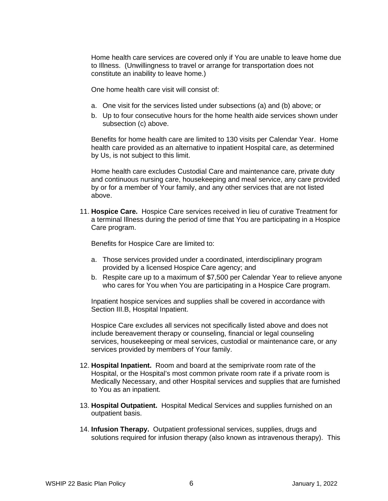Home health care services are covered only if You are unable to leave home due to Illness. (Unwillingness to travel or arrange for transportation does not constitute an inability to leave home.)

One home health care visit will consist of:

- a. One visit for the services listed under subsections (a) and (b) above; or
- b. Up to four consecutive hours for the home health aide services shown under subsection (c) above.

Benefits for home health care are limited to 130 visits per Calendar Year. Home health care provided as an alternative to inpatient Hospital care, as determined by Us, is not subject to this limit.

Home health care excludes Custodial Care and maintenance care, private duty and continuous nursing care, housekeeping and meal service, any care provided by or for a member of Your family, and any other services that are not listed above.

11. **Hospice Care.** Hospice Care services received in lieu of curative Treatment for a terminal Illness during the period of time that You are participating in a Hospice Care program.

Benefits for Hospice Care are limited to:

- a. Those services provided under a coordinated, interdisciplinary program provided by a licensed Hospice Care agency; and
- b. Respite care up to a maximum of \$7,500 per Calendar Year to relieve anyone who cares for You when You are participating in a Hospice Care program.

Inpatient hospice services and supplies shall be covered in accordance with Section III.B, Hospital Inpatient.

Hospice Care excludes all services not specifically listed above and does not include bereavement therapy or counseling, financial or legal counseling services, housekeeping or meal services, custodial or maintenance care, or any services provided by members of Your family.

- 12. **Hospital Inpatient.** Room and board at the semiprivate room rate of the Hospital, or the Hospital's most common private room rate if a private room is Medically Necessary, and other Hospital services and supplies that are furnished to You as an inpatient.
- 13. **Hospital Outpatient.** Hospital Medical Services and supplies furnished on an outpatient basis.
- 14. **Infusion Therapy.** Outpatient professional services, supplies, drugs and solutions required for infusion therapy (also known as intravenous therapy).This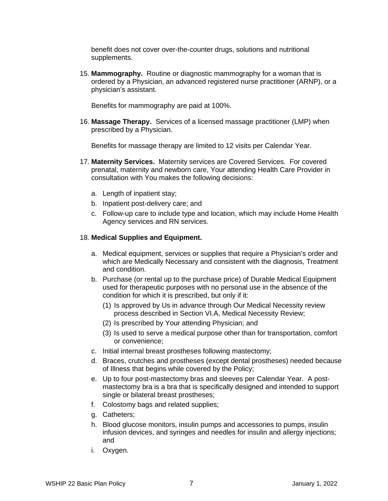benefit does not cover over-the-counter drugs, solutions and nutritional supplements.

15. **Mammography.** Routine or diagnostic mammography for a woman that is ordered by a Physician, an advanced registered nurse practitioner (ARNP), or a physician's assistant.

Benefits for mammography are paid at 100%.

16. **Massage Therapy.** Services of a licensed massage practitioner (LMP) when prescribed by a Physician.

Benefits for massage therapy are limited to 12 visits per Calendar Year.

- 17. **Maternity Services.** Maternity services are Covered Services. For covered prenatal, maternity and newborn care, Your attending Health Care Provider in consultation with You makes the following decisions:
	- a. Length of inpatient stay;
	- b. Inpatient post-delivery care; and
	- c. Follow-up care to include type and location, which may include Home Health Agency services and RN services.

### 18. **Medical Supplies and Equipment.**

- a. Medical equipment, services or supplies that require a Physician's order and which are Medically Necessary and consistent with the diagnosis, Treatment and condition.
- b. Purchase (or rental up to the purchase price) of Durable Medical Equipment used for therapeutic purposes with no personal use in the absence of the condition for which it is prescribed, but only if it:
	- (1) Is approved by Us in advance through Our Medical Necessity review process described in Section VI.A, Medical Necessity Review;
	- (2) Is prescribed by Your attending Physician; and
	- (3) Is used to serve a medical purpose other than for transportation, comfort or convenience;
- c. Initial internal breast prostheses following mastectomy;
- d. Braces, crutches and prostheses (except dental prostheses) needed because of Illness that begins while covered by the Policy;
- e. Up to four post-mastectomy bras and sleeves per Calendar Year. A postmastectomy bra is a bra that is specifically designed and intended to support single or bilateral breast prostheses;
- f. Colostomy bags and related supplies;
- g. Catheters;
- h. Blood glucose monitors, insulin pumps and accessories to pumps, insulin infusion devices, and syringes and needles for insulin and allergy injections; and
- i. Oxygen.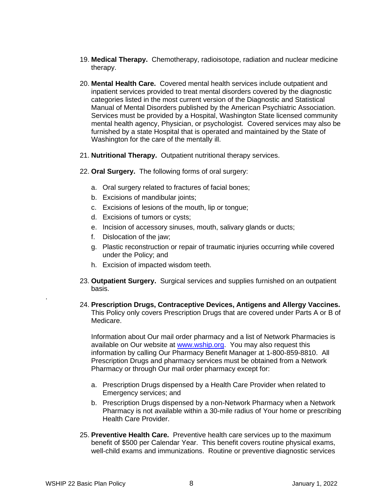- 19. **Medical Therapy.** Chemotherapy, radioisotope, radiation and nuclear medicine therapy.
- 20. **Mental Health Care.** Covered mental health services include outpatient and inpatient services provided to treat mental disorders covered by the diagnostic categories listed in the most current version of the Diagnostic and Statistical Manual of Mental Disorders published by the American Psychiatric Association. Services must be provided by a Hospital, Washington State licensed community mental health agency, Physician, or psychologist. Covered services may also be furnished by a state Hospital that is operated and maintained by the State of Washington for the care of the mentally ill.
- 21. **Nutritional Therapy.** Outpatient nutritional therapy services.
- 22. **Oral Surgery.** The following forms of oral surgery:
	- a. Oral surgery related to fractures of facial bones;
	- b. Excisions of mandibular joints;
	- c. Excisions of lesions of the mouth, lip or tongue;
	- d. Excisions of tumors or cysts;
	- e. Incision of accessory sinuses, mouth, salivary glands or ducts;
	- f. Dislocation of the jaw;
	- g. Plastic reconstruction or repair of traumatic injuries occurring while covered under the Policy; and
	- h. Excision of impacted wisdom teeth.
- 23. **Outpatient Surgery.** Surgical services and supplies furnished on an outpatient basis.
- 24. **Prescription Drugs, Contraceptive Devices, Antigens and Allergy Vaccines.** This Policy only covers Prescription Drugs that are covered under Parts A or B of Medicare.

Information about Our mail order pharmacy and a list of Network Pharmacies is available on Our website at [www.wship.org.](http://www.wship.org/) You may also request this information by calling Our Pharmacy Benefit Manager at 1-800-859-8810. All Prescription Drugs and pharmacy services must be obtained from a Network Pharmacy or through Our mail order pharmacy except for:

- a. Prescription Drugs dispensed by a Health Care Provider when related to Emergency services; and
- b. Prescription Drugs dispensed by a non-Network Pharmacy when a Network Pharmacy is not available within a 30-mile radius of Your home or prescribing Health Care Provider.
- 25. **Preventive Health Care.** Preventive health care services up to the maximum benefit of \$500 per Calendar Year. This benefit covers routine physical exams, well-child exams and immunizations. Routine or preventive diagnostic services

.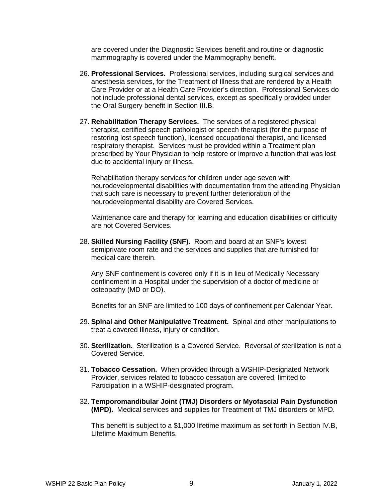are covered under the Diagnostic Services benefit and routine or diagnostic mammography is covered under the Mammography benefit.

- 26. **Professional Services.** Professional services, including surgical services and anesthesia services, for the Treatment of Illness that are rendered by a Health Care Provider or at a Health Care Provider's direction. Professional Services do not include professional dental services, except as specifically provided under the Oral Surgery benefit in Section III.B.
- 27. **Rehabilitation Therapy Services.** The services of a registered physical therapist, certified speech pathologist or speech therapist (for the purpose of restoring lost speech function), licensed occupational therapist, and licensed respiratory therapist. Services must be provided within a Treatment plan prescribed by Your Physician to help restore or improve a function that was lost due to accidental injury or illness.

Rehabilitation therapy services for children under age seven with neurodevelopmental disabilities with documentation from the attending Physician that such care is necessary to prevent further deterioration of the neurodevelopmental disability are Covered Services.

Maintenance care and therapy for learning and education disabilities or difficulty are not Covered Services.

28. **Skilled Nursing Facility (SNF).** Room and board at an SNF's lowest semiprivate room rate and the services and supplies that are furnished for medical care therein.

Any SNF confinement is covered only if it is in lieu of Medically Necessary confinement in a Hospital under the supervision of a doctor of medicine or osteopathy (MD or DO).

Benefits for an SNF are limited to 100 days of confinement per Calendar Year.

- 29. **Spinal and Other Manipulative Treatment.** Spinal and other manipulations to treat a covered Illness, injury or condition.
- 30. **Sterilization.** Sterilization is a Covered Service. Reversal of sterilization is not a Covered Service.
- 31. **Tobacco Cessation.** When provided through a WSHIP-Designated Network Provider, services related to tobacco cessation are covered, limited to Participation in a WSHIP-designated program.
- 32. **Temporomandibular Joint (TMJ) Disorders or Myofascial Pain Dysfunction (MPD).** Medical services and supplies for Treatment of TMJ disorders or MPD.

This benefit is subject to a \$1,000 lifetime maximum as set forth in Section IV.B, Lifetime Maximum Benefits.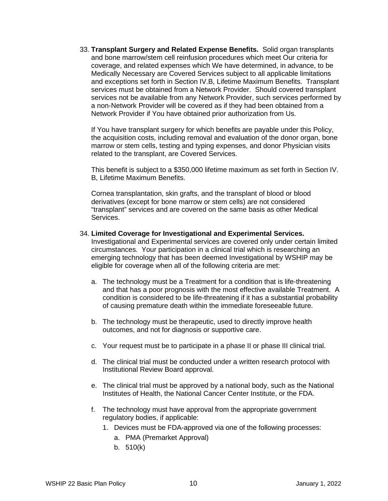33. **Transplant Surgery and Related Expense Benefits.** Solid organ transplants and bone marrow/stem cell reinfusion procedures which meet Our criteria for coverage, and related expenses which We have determined, in advance, to be Medically Necessary are Covered Services subject to all applicable limitations and exceptions set forth in Section IV.B, Lifetime Maximum Benefits. Transplant services must be obtained from a Network Provider. Should covered transplant services not be available from any Network Provider, such services performed by a non-Network Provider will be covered as if they had been obtained from a Network Provider if You have obtained prior authorization from Us.

If You have transplant surgery for which benefits are payable under this Policy, the acquisition costs, including removal and evaluation of the donor organ, bone marrow or stem cells, testing and typing expenses, and donor Physician visits related to the transplant, are Covered Services.

This benefit is subject to a \$350,000 lifetime maximum as set forth in Section IV. B, Lifetime Maximum Benefits.

Cornea transplantation, skin grafts, and the transplant of blood or blood derivatives (except for bone marrow or stem cells) are not considered "transplant" services and are covered on the same basis as other Medical Services.

#### 34. **Limited Coverage for Investigational and Experimental Services.**

Investigational and Experimental services are covered only under certain limited circumstances. Your participation in a clinical trial which is researching an emerging technology that has been deemed Investigational by WSHIP may be eligible for coverage when all of the following criteria are met:

- a. The technology must be a Treatment for a condition that is life-threatening and that has a poor prognosis with the most effective available Treatment. A condition is considered to be life-threatening if it has a substantial probability of causing premature death within the immediate foreseeable future.
- b. The technology must be therapeutic, used to directly improve health outcomes, and not for diagnosis or supportive care.
- c. Your request must be to participate in a phase II or phase III clinical trial.
- d. The clinical trial must be conducted under a written research protocol with Institutional Review Board approval.
- e. The clinical trial must be approved by a national body, such as the National Institutes of Health, the National Cancer Center Institute, or the FDA.
- f. The technology must have approval from the appropriate government regulatory bodies, if applicable:
	- 1. Devices must be FDA-approved via one of the following processes:
		- a. PMA (Premarket Approval)
		- b. 510(k)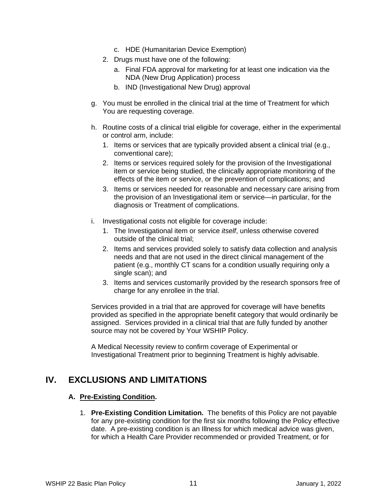- c. HDE (Humanitarian Device Exemption)
- 2. Drugs must have one of the following:
	- a. Final FDA approval for marketing for at least one indication via the NDA (New Drug Application) process
	- b. IND (Investigational New Drug) approval
- g. You must be enrolled in the clinical trial at the time of Treatment for which You are requesting coverage.
- h. Routine costs of a clinical trial eligible for coverage, either in the experimental or control arm, include:
	- 1. Items or services that are typically provided absent a clinical trial (e.g., conventional care);
	- 2. Items or services required solely for the provision of the Investigational item or service being studied, the clinically appropriate monitoring of the effects of the item or service, or the prevention of complications; and
	- 3. Items or services needed for reasonable and necessary care arising from the provision of an Investigational item or service—in particular, for the diagnosis or Treatment of complications.
- i. Investigational costs not eligible for coverage include:
	- 1. The Investigational item or service *itself*, unless otherwise covered outside of the clinical trial;
	- 2. Items and services provided solely to satisfy data collection and analysis needs and that are not used in the direct clinical management of the patient (e.g., monthly CT scans for a condition usually requiring only a single scan); and
	- 3. Items and services customarily provided by the research sponsors free of charge for any enrollee in the trial.

Services provided in a trial that are approved for coverage will have benefits provided as specified in the appropriate benefit category that would ordinarily be assigned. Services provided in a clinical trial that are fully funded by another source may not be covered by Your WSHIP Policy.

A Medical Necessity review to confirm coverage of Experimental or Investigational Treatment prior to beginning Treatment is highly advisable.

## **IV. EXCLUSIONS AND LIMITATIONS**

### **A. Pre-Existing Condition.**

1. **Pre-Existing Condition Limitation.** The benefits of this Policy are not payable for any pre-existing condition for the first six months following the Policy effective date. A pre-existing condition is an Illness for which medical advice was given, for which a Health Care Provider recommended or provided Treatment, or for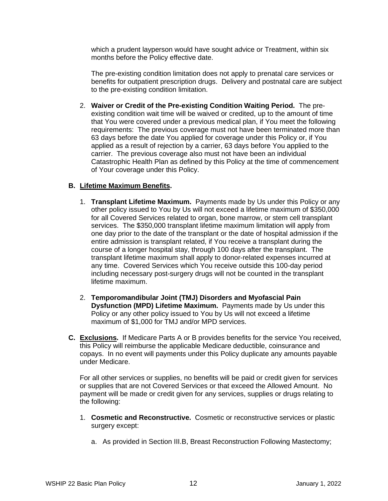which a prudent layperson would have sought advice or Treatment, within six months before the Policy effective date.

The pre-existing condition limitation does not apply to prenatal care services or benefits for outpatient prescription drugs. Delivery and postnatal care are subject to the pre-existing condition limitation.

2. **Waiver or Credit of the Pre-existing Condition Waiting Period.** The preexisting condition wait time will be waived or credited, up to the amount of time that You were covered under a previous medical plan, if You meet the following requirements: The previous coverage must not have been terminated more than 63 days before the date You applied for coverage under this Policy or, if You applied as a result of rejection by a carrier, 63 days before You applied to the carrier. The previous coverage also must not have been an individual Catastrophic Health Plan as defined by this Policy at the time of commencement of Your coverage under this Policy.

## **B. Lifetime Maximum Benefits.**

- 1. **Transplant Lifetime Maximum.** Payments made by Us under this Policy or any other policy issued to You by Us will not exceed a lifetime maximum of \$350,000 for all Covered Services related to organ, bone marrow, or stem cell transplant services. The \$350,000 transplant lifetime maximum limitation will apply from one day prior to the date of the transplant or the date of hospital admission if the entire admission is transplant related, if You receive a transplant during the course of a longer hospital stay, through 100 days after the transplant. The transplant lifetime maximum shall apply to donor-related expenses incurred at any time. Covered Services which You receive outside this 100-day period including necessary post-surgery drugs will not be counted in the transplant lifetime maximum.
- 2. **Temporomandibular Joint (TMJ) Disorders and Myofascial Pain Dysfunction (MPD) Lifetime Maximum.** Payments made by Us under this Policy or any other policy issued to You by Us will not exceed a lifetime maximum of \$1,000 for TMJ and/or MPD services.
- **C. Exclusions.** If Medicare Parts A or B provides benefits for the service You received, this Policy will reimburse the applicable Medicare deductible, coinsurance and copays. In no event will payments under this Policy duplicate any amounts payable under Medicare.

For all other services or supplies, no benefits will be paid or credit given for services or supplies that are not Covered Services or that exceed the Allowed Amount. No payment will be made or credit given for any services, supplies or drugs relating to the following:

- 1. **Cosmetic and Reconstructive.** Cosmetic or reconstructive services or plastic surgery except:
	- a. As provided in Section III.B, Breast Reconstruction Following Mastectomy;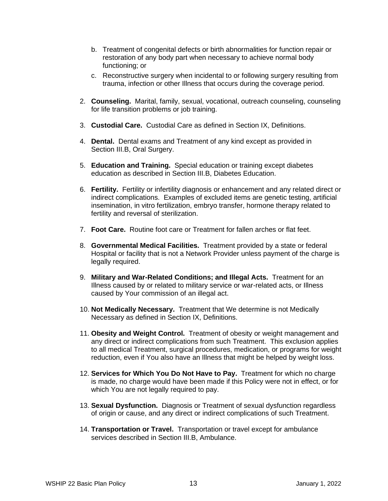- b. Treatment of congenital defects or birth abnormalities for function repair or restoration of any body part when necessary to achieve normal body functioning; or
- c. Reconstructive surgery when incidental to or following surgery resulting from trauma, infection or other Illness that occurs during the coverage period.
- 2. **Counseling.** Marital, family, sexual, vocational, outreach counseling, counseling for life transition problems or job training.
- 3. **Custodial Care.** Custodial Care as defined in Section IX, Definitions.
- 4. **Dental.** Dental exams and Treatment of any kind except as provided in Section III.B, Oral Surgery.
- 5. **Education and Training.** Special education or training except diabetes education as described in Section III.B, Diabetes Education.
- 6. **Fertility.** Fertility or infertility diagnosis or enhancement and any related direct or indirect complications. Examples of excluded items are genetic testing, artificial insemination, in vitro fertilization, embryo transfer, hormone therapy related to fertility and reversal of sterilization.
- 7. **Foot Care.** Routine foot care or Treatment for fallen arches or flat feet.
- 8. **Governmental Medical Facilities.** Treatment provided by a state or federal Hospital or facility that is not a Network Provider unless payment of the charge is legally required.
- 9. **Military and War-Related Conditions; and Illegal Acts.** Treatment for an Illness caused by or related to military service or war-related acts, or Illness caused by Your commission of an illegal act.
- 10. **Not Medically Necessary.** Treatment that We determine is not Medically Necessary as defined in Section IX, Definitions.
- 11. **Obesity and Weight Control.** Treatment of obesity or weight management and any direct or indirect complications from such Treatment. This exclusion applies to all medical Treatment, surgical procedures, medication, or programs for weight reduction, even if You also have an Illness that might be helped by weight loss.
- 12. **Services for Which You Do Not Have to Pay.** Treatment for which no charge is made, no charge would have been made if this Policy were not in effect, or for which You are not legally required to pay.
- 13. **Sexual Dysfunction.** Diagnosis or Treatment of sexual dysfunction regardless of origin or cause, and any direct or indirect complications of such Treatment.
- 14. **Transportation or Travel.** Transportation or travel except for ambulance services described in Section III.B, Ambulance.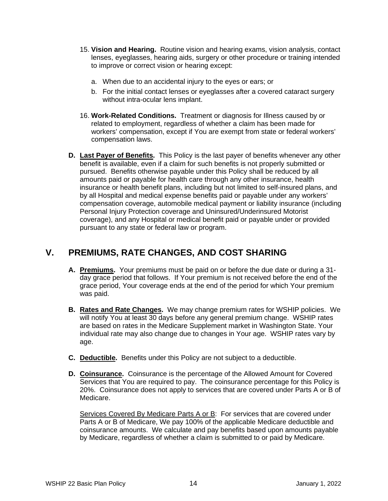- 15. **Vision and Hearing.** Routine vision and hearing exams, vision analysis, contact lenses, eyeglasses, hearing aids, surgery or other procedure or training intended to improve or correct vision or hearing except:
	- a. When due to an accidental injury to the eyes or ears; or
	- b. For the initial contact lenses or eyeglasses after a covered cataract surgery without intra-ocular lens implant.
- 16. **Work-Related Conditions.** Treatment or diagnosis for Illness caused by or related to employment, regardless of whether a claim has been made for workers' compensation, except if You are exempt from state or federal workers' compensation laws.
- **D. Last Payer of Benefits.** This Policy is the last payer of benefits whenever any other benefit is available, even if a claim for such benefits is not properly submitted or pursued. Benefits otherwise payable under this Policy shall be reduced by all amounts paid or payable for health care through any other insurance, health insurance or health benefit plans, including but not limited to self-insured plans, and by all Hospital and medical expense benefits paid or payable under any workers' compensation coverage, automobile medical payment or liability insurance (including Personal Injury Protection coverage and Uninsured/Underinsured Motorist coverage), and any Hospital or medical benefit paid or payable under or provided pursuant to any state or federal law or program.

## **V. PREMIUMS, RATE CHANGES, AND COST SHARING**

- **A. Premiums.** Your premiums must be paid on or before the due date or during a 31 day grace period that follows. If Your premium is not received before the end of the grace period, Your coverage ends at the end of the period for which Your premium was paid.
- **B. Rates and Rate Changes.** We may change premium rates for WSHIP policies. We will notify You at least 30 days before any general premium change. WSHIP rates are based on rates in the Medicare Supplement market in Washington State. Your individual rate may also change due to changes in Your age. WSHIP rates vary by age.
- **C. Deductible.** Benefits under this Policy are not subject to a deductible.
- **D. Coinsurance.** Coinsurance is the percentage of the Allowed Amount for Covered Services that You are required to pay. The coinsurance percentage for this Policy is 20%. Coinsurance does not apply to services that are covered under Parts A or B of Medicare.

Services Covered By Medicare Parts A or B: For services that are covered under Parts A or B of Medicare, We pay 100% of the applicable Medicare deductible and coinsurance amounts. We calculate and pay benefits based upon amounts payable by Medicare, regardless of whether a claim is submitted to or paid by Medicare.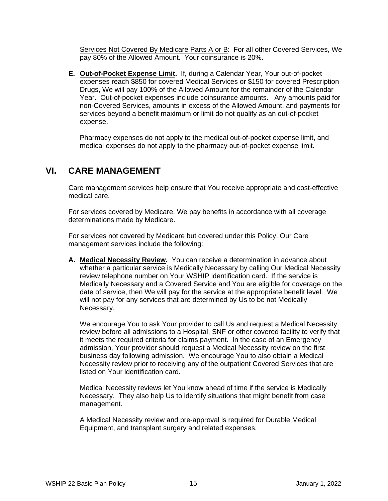Services Not Covered By Medicare Parts A or B: For all other Covered Services, We pay 80% of the Allowed Amount. Your coinsurance is 20%.

**E. Out-of-Pocket Expense Limit.** If, during a Calendar Year, Your out-of-pocket expenses reach \$850 for covered Medical Services or \$150 for covered Prescription Drugs, We will pay 100% of the Allowed Amount for the remainder of the Calendar Year. Out-of-pocket expenses include coinsurance amounts. Any amounts paid for non-Covered Services, amounts in excess of the Allowed Amount, and payments for services beyond a benefit maximum or limit do not qualify as an out-of-pocket expense.

Pharmacy expenses do not apply to the medical out-of-pocket expense limit, and medical expenses do not apply to the pharmacy out-of-pocket expense limit.

## **VI. CARE MANAGEMENT**

Care management services help ensure that You receive appropriate and cost-effective medical care.

For services covered by Medicare, We pay benefits in accordance with all coverage determinations made by Medicare.

For services not covered by Medicare but covered under this Policy, Our Care management services include the following:

**A. Medical Necessity Review.** You can receive a determination in advance about whether a particular service is Medically Necessary by calling Our Medical Necessity review telephone number on Your WSHIP identification card. If the service is Medically Necessary and a Covered Service and You are eligible for coverage on the date of service, then We will pay for the service at the appropriate benefit level. We will not pay for any services that are determined by Us to be not Medically Necessary.

We encourage You to ask Your provider to call Us and request a Medical Necessity review before all admissions to a Hospital, SNF or other covered facility to verify that it meets the required criteria for claims payment. In the case of an Emergency admission, Your provider should request a Medical Necessity review on the first business day following admission. We encourage You to also obtain a Medical Necessity review prior to receiving any of the outpatient Covered Services that are listed on Your identification card.

Medical Necessity reviews let You know ahead of time if the service is Medically Necessary. They also help Us to identify situations that might benefit from case management.

A Medical Necessity review and pre-approval is required for Durable Medical Equipment, and transplant surgery and related expenses.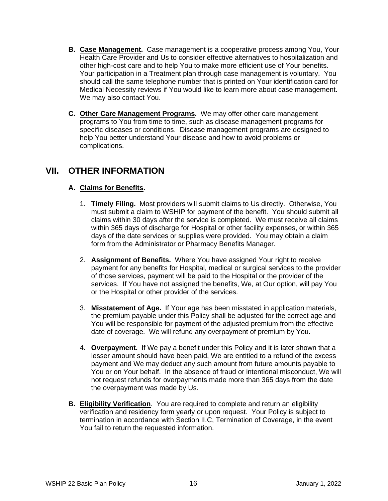- **B. Case Management.** Case management is a cooperative process among You, Your Health Care Provider and Us to consider effective alternatives to hospitalization and other high-cost care and to help You to make more efficient use of Your benefits. Your participation in a Treatment plan through case management is voluntary. You should call the same telephone number that is printed on Your identification card for Medical Necessity reviews if You would like to learn more about case management. We may also contact You.
- **C. Other Care Management Programs.** We may offer other care management programs to You from time to time, such as disease management programs for specific diseases or conditions. Disease management programs are designed to help You better understand Your disease and how to avoid problems or complications.

## **VII. OTHER INFORMATION**

## **A. Claims for Benefits.**

- 1. **Timely Filing.** Most providers will submit claims to Us directly. Otherwise, You must submit a claim to WSHIP for payment of the benefit. You should submit all claims within 30 days after the service is completed. We must receive all claims within 365 days of discharge for Hospital or other facility expenses, or within 365 days of the date services or supplies were provided. You may obtain a claim form from the Administrator or Pharmacy Benefits Manager.
- 2. **Assignment of Benefits.** Where You have assigned Your right to receive payment for any benefits for Hospital, medical or surgical services to the provider of those services, payment will be paid to the Hospital or the provider of the services. If You have not assigned the benefits, We, at Our option, will pay You or the Hospital or other provider of the services.
- 3. **Misstatement of Age.** If Your age has been misstated in application materials, the premium payable under this Policy shall be adjusted for the correct age and You will be responsible for payment of the adjusted premium from the effective date of coverage. We will refund any overpayment of premium by You.
- 4. **Overpayment.** If We pay a benefit under this Policy and it is later shown that a lesser amount should have been paid, We are entitled to a refund of the excess payment and We may deduct any such amount from future amounts payable to You or on Your behalf. In the absence of fraud or intentional misconduct, We will not request refunds for overpayments made more than 365 days from the date the overpayment was made by Us.
- **B. Eligibility Verification**. You are required to complete and return an eligibility verification and residency form yearly or upon request. Your Policy is subject to termination in accordance with Section II.C, Termination of Coverage, in the event You fail to return the requested information.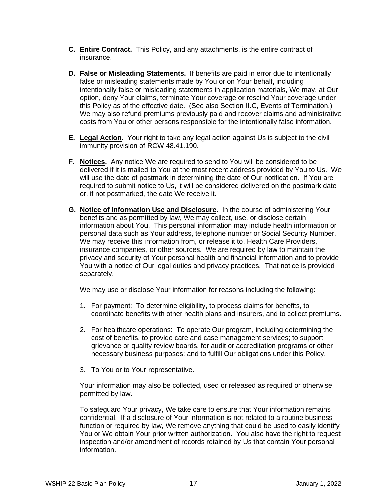- **C. Entire Contract.** This Policy, and any attachments, is the entire contract of insurance.
- **D. False or Misleading Statements.** If benefits are paid in error due to intentionally false or misleading statements made by You or on Your behalf, including intentionally false or misleading statements in application materials, We may, at Our option, deny Your claims, terminate Your coverage or rescind Your coverage under this Policy as of the effective date. (See also Section II.C, Events of Termination.) We may also refund premiums previously paid and recover claims and administrative costs from You or other persons responsible for the intentionally false information.
- **E. Legal Action.** Your right to take any legal action against Us is subject to the civil immunity provision of RCW 48.41.190.
- **F. Notices.** Any notice We are required to send to You will be considered to be delivered if it is mailed to You at the most recent address provided by You to Us. We will use the date of postmark in determining the date of Our notification. If You are required to submit notice to Us, it will be considered delivered on the postmark date or, if not postmarked, the date We receive it.
- **G. Notice of Information Use and Disclosure.** In the course of administering Your benefits and as permitted by law, We may collect, use, or disclose certain information about You. This personal information may include health information or personal data such as Your address, telephone number or Social Security Number. We may receive this information from, or release it to, Health Care Providers, insurance companies, or other sources. We are required by law to maintain the privacy and security of Your personal health and financial information and to provide You with a notice of Our legal duties and privacy practices. That notice is provided separately.

We may use or disclose Your information for reasons including the following:

- 1. For payment: To determine eligibility, to process claims for benefits, to coordinate benefits with other health plans and insurers, and to collect premiums.
- 2. For healthcare operations: To operate Our program, including determining the cost of benefits, to provide care and case management services; to support grievance or quality review boards, for audit or accreditation programs or other necessary business purposes; and to fulfill Our obligations under this Policy.
- 3. To You or to Your representative.

Your information may also be collected, used or released as required or otherwise permitted by law.

To safeguard Your privacy, We take care to ensure that Your information remains confidential. If a disclosure of Your information is not related to a routine business function or required by law, We remove anything that could be used to easily identify You or We obtain Your prior written authorization. You also have the right to request inspection and/or amendment of records retained by Us that contain Your personal information.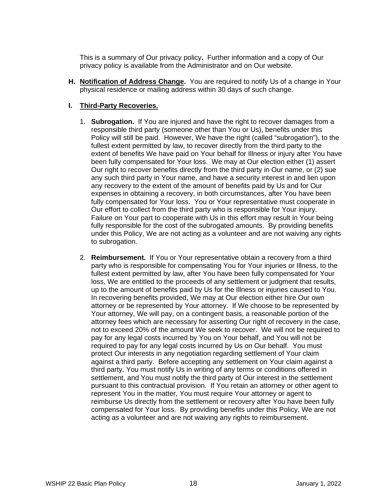This is a summary of Our privacy policy**.** Further information and a copy of Our privacy policy is available from the Administrator and on Our website.

**H. Notification of Address Change.** You are required to notify Us of a change in Your physical residence or mailing address within 30 days of such change.

## **I. Third-Party Recoveries.**

- 1. **Subrogation.** If You are injured and have the right to recover damages from a responsible third party (someone other than You or Us), benefits under this Policy will still be paid. However, We have the right (called "subrogation"), to the fullest extent permitted by law, to recover directly from the third party to the extent of benefits We have paid on Your behalf for Illness or injury after You have been fully compensated for Your loss. We may at Our election either (1) assert Our right to recover benefits directly from the third party in Our name, or (2) sue any such third party in Your name, and have a security interest in and lien upon any recovery to the extent of the amount of benefits paid by Us and for Our expenses in obtaining a recovery, in both circumstances, after You have been fully compensated for Your loss. You or Your representative must cooperate in Our effort to collect from the third party who is responsible for Your injury. Failure on Your part to cooperate with Us in this effort may result in Your being fully responsible for the cost of the subrogated amounts. By providing benefits under this Policy, We are not acting as a volunteer and are not waiving any rights to subrogation.
- 2. **Reimbursement.** If You or Your representative obtain a recovery from a third party who is responsible for compensating You for Your injuries or Illness, to the fullest extent permitted by law, after You have been fully compensated for Your loss, We are entitled to the proceeds of any settlement or judgment that results, up to the amount of benefits paid by Us for the Illness or injuries caused to You. In recovering benefits provided, We may at Our election either hire Our own attorney or be represented by Your attorney. If We choose to be represented by Your attorney, We will pay, on a contingent basis, a reasonable portion of the attorney fees which are necessary for asserting Our right of recovery in the case, not to exceed 20% of the amount We seek to recover. We will not be required to pay for any legal costs incurred by You on Your behalf, and You will not be required to pay for any legal costs incurred by Us on Our behalf. You must protect Our interests in any negotiation regarding settlement of Your claim against a third party. Before accepting any settlement on Your claim against a third party, You must notify Us in writing of any terms or conditions offered in settlement, and You must notify the third party of Our interest in the settlement pursuant to this contractual provision. If You retain an attorney or other agent to represent You in the matter, You must require Your attorney or agent to reimburse Us directly from the settlement or recovery after You have been fully compensated for Your loss. By providing benefits under this Policy, We are not acting as a volunteer and are not waiving any rights to reimbursement.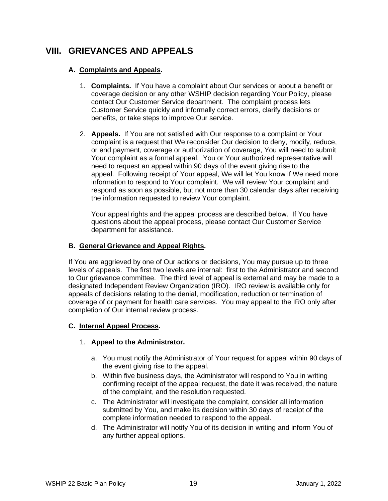## **VIII. GRIEVANCES AND APPEALS**

## **A. Complaints and Appeals.**

- 1. **Complaints.** If You have a complaint about Our services or about a benefit or coverage decision or any other WSHIP decision regarding Your Policy, please contact Our Customer Service department. The complaint process lets Customer Service quickly and informally correct errors, clarify decisions or benefits, or take steps to improve Our service.
- 2. **Appeals.** If You are not satisfied with Our response to a complaint or Your complaint is a request that We reconsider Our decision to deny, modify, reduce, or end payment, coverage or authorization of coverage, You will need to submit Your complaint as a formal appeal. You or Your authorized representative will need to request an appeal within 90 days of the event giving rise to the appeal. Following receipt of Your appeal, We will let You know if We need more information to respond to Your complaint. We will review Your complaint and respond as soon as possible, but not more than 30 calendar days after receiving the information requested to review Your complaint.

Your appeal rights and the appeal process are described below. If You have questions about the appeal process, please contact Our Customer Service department for assistance.

### **B. General Grievance and Appeal Rights.**

If You are aggrieved by one of Our actions or decisions, You may pursue up to three levels of appeals. The first two levels are internal: first to the Administrator and second to Our grievance committee. The third level of appeal is external and may be made to a designated Independent Review Organization (IRO). IRO review is available only for appeals of decisions relating to the denial, modification, reduction or termination of coverage of or payment for health care services. You may appeal to the IRO only after completion of Our internal review process.

### **C. Internal Appeal Process.**

### 1. **Appeal to the Administrator.**

- a. You must notify the Administrator of Your request for appeal within 90 days of the event giving rise to the appeal.
- b. Within five business days, the Administrator will respond to You in writing confirming receipt of the appeal request, the date it was received, the nature of the complaint, and the resolution requested.
- c. The Administrator will investigate the complaint, consider all information submitted by You, and make its decision within 30 days of receipt of the complete information needed to respond to the appeal.
- d. The Administrator will notify You of its decision in writing and inform You of any further appeal options.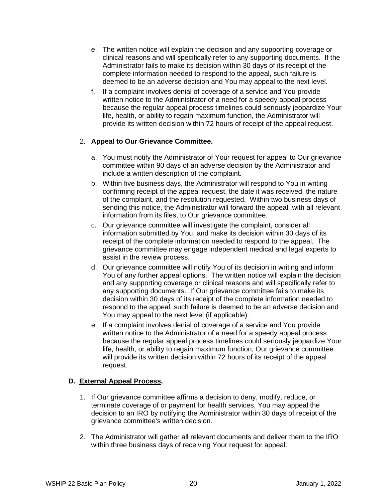- e. The written notice will explain the decision and any supporting coverage or clinical reasons and will specifically refer to any supporting documents. If the Administrator fails to make its decision within 30 days of its receipt of the complete information needed to respond to the appeal, such failure is deemed to be an adverse decision and You may appeal to the next level.
- f. If a complaint involves denial of coverage of a service and You provide written notice to the Administrator of a need for a speedy appeal process because the regular appeal process timelines could seriously jeopardize Your life, health, or ability to regain maximum function, the Administrator will provide its written decision within 72 hours of receipt of the appeal request.

## 2. **Appeal to Our Grievance Committee.**

- a. You must notify the Administrator of Your request for appeal to Our grievance committee within 90 days of an adverse decision by the Administrator and include a written description of the complaint.
- b. Within five business days, the Administrator will respond to You in writing confirming receipt of the appeal request, the date it was received, the nature of the complaint, and the resolution requested. Within two business days of sending this notice, the Administrator will forward the appeal, with all relevant information from its files, to Our grievance committee.
- c. Our grievance committee will investigate the complaint, consider all information submitted by You, and make its decision within 30 days of its receipt of the complete information needed to respond to the appeal. The grievance committee may engage independent medical and legal experts to assist in the review process.
- d. Our grievance committee will notify You of its decision in writing and inform You of any further appeal options. The written notice will explain the decision and any supporting coverage or clinical reasons and will specifically refer to any supporting documents. If Our grievance committee fails to make its decision within 30 days of its receipt of the complete information needed to respond to the appeal, such failure is deemed to be an adverse decision and You may appeal to the next level (if applicable).
- e. If a complaint involves denial of coverage of a service and You provide written notice to the Administrator of a need for a speedy appeal process because the regular appeal process timelines could seriously jeopardize Your life, health, or ability to regain maximum function, Our grievance committee will provide its written decision within 72 hours of its receipt of the appeal request.

### **D. External Appeal Process.**

- 1. If Our grievance committee affirms a decision to deny, modify, reduce, or terminate coverage of or payment for health services, You may appeal the decision to an IRO by notifying the Administrator within 30 days of receipt of the grievance committee's written decision.
- 2. The Administrator will gather all relevant documents and deliver them to the IRO within three business days of receiving Your request for appeal.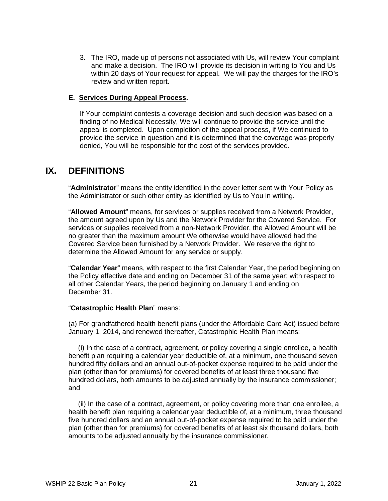3. The IRO, made up of persons not associated with Us, will review Your complaint and make a decision. The IRO will provide its decision in writing to You and Us within 20 days of Your request for appeal. We will pay the charges for the IRO's review and written report.

#### **E. Services During Appeal Process.**

If Your complaint contests a coverage decision and such decision was based on a finding of no Medical Necessity, We will continue to provide the service until the appeal is completed. Upon completion of the appeal process, if We continued to provide the service in question and it is determined that the coverage was properly denied, You will be responsible for the cost of the services provided.

## **IX. DEFINITIONS**

"**Administrator**" means the entity identified in the cover letter sent with Your Policy as the Administrator or such other entity as identified by Us to You in writing.

"**Allowed Amount**" means, for services or supplies received from a Network Provider, the amount agreed upon by Us and the Network Provider for the Covered Service. For services or supplies received from a non-Network Provider, the Allowed Amount will be no greater than the maximum amount We otherwise would have allowed had the Covered Service been furnished by a Network Provider. We reserve the right to determine the Allowed Amount for any service or supply.

"**Calendar Year**" means, with respect to the first Calendar Year, the period beginning on the Policy effective date and ending on December 31 of the same year; with respect to all other Calendar Years, the period beginning on January 1 and ending on December 31.

#### "**Catastrophic Health Plan**" means:

(a) For grandfathered health benefit plans (under the Affordable Care Act) issued before January 1, 2014, and renewed thereafter, Catastrophic Health Plan means:

 (i) In the case of a contract, agreement, or policy covering a single enrollee, a health benefit plan requiring a calendar year deductible of, at a minimum, one thousand seven hundred fifty dollars and an annual out-of-pocket expense required to be paid under the plan (other than for premiums) for covered benefits of at least three thousand five hundred dollars, both amounts to be adjusted annually by the insurance commissioner; and

 (ii) In the case of a contract, agreement, or policy covering more than one enrollee, a health benefit plan requiring a calendar year deductible of, at a minimum, three thousand five hundred dollars and an annual out-of-pocket expense required to be paid under the plan (other than for premiums) for covered benefits of at least six thousand dollars, both amounts to be adjusted annually by the insurance commissioner.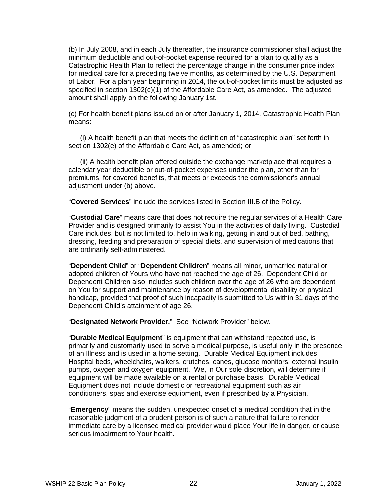(b) In July 2008, and in each July thereafter, the insurance commissioner shall adjust the minimum deductible and out-of-pocket expense required for a plan to qualify as a Catastrophic Health Plan to reflect the percentage change in the consumer price index for medical care for a preceding twelve months, as determined by the U.S. Department of Labor. For a plan year beginning in 2014, the out-of-pocket limits must be adjusted as specified in section  $1302(c)(1)$  of the Affordable Care Act, as amended. The adjusted amount shall apply on the following January 1st.

(c) For health benefit plans issued on or after January 1, 2014, Catastrophic Health Plan means:

 (i) A health benefit plan that meets the definition of "catastrophic plan" set forth in section 1302(e) of the Affordable Care Act, as amended; or

 (ii) A health benefit plan offered outside the exchange marketplace that requires a calendar year deductible or out-of-pocket expenses under the plan, other than for premiums, for covered benefits, that meets or exceeds the commissioner's annual adjustment under (b) above.

"**Covered Services**" include the services listed in Section III.B of the Policy.

"**Custodial Care**" means care that does not require the regular services of a Health Care Provider and is designed primarily to assist You in the activities of daily living. Custodial Care includes, but is not limited to, help in walking, getting in and out of bed, bathing, dressing, feeding and preparation of special diets, and supervision of medications that are ordinarily self-administered.

"**Dependent Child**" or "**Dependent Children**" means all minor, unmarried natural or adopted children of Yours who have not reached the age of 26. Dependent Child or Dependent Children also includes such children over the age of 26 who are dependent on You for support and maintenance by reason of developmental disability or physical handicap, provided that proof of such incapacity is submitted to Us within 31 days of the Dependent Child's attainment of age 26.

"**Designated Network Provider.**" See "Network Provider" below.

"**Durable Medical Equipment**" is equipment that can withstand repeated use, is primarily and customarily used to serve a medical purpose, is useful only in the presence of an Illness and is used in a home setting. Durable Medical Equipment includes Hospital beds, wheelchairs, walkers, crutches, canes, glucose monitors, external insulin pumps, oxygen and oxygen equipment. We, in Our sole discretion, will determine if equipment will be made available on a rental or purchase basis. Durable Medical Equipment does not include domestic or recreational equipment such as air conditioners, spas and exercise equipment, even if prescribed by a Physician.

"**Emergency**" means the sudden, unexpected onset of a medical condition that in the reasonable judgment of a prudent person is of such a nature that failure to render immediate care by a licensed medical provider would place Your life in danger, or cause serious impairment to Your health.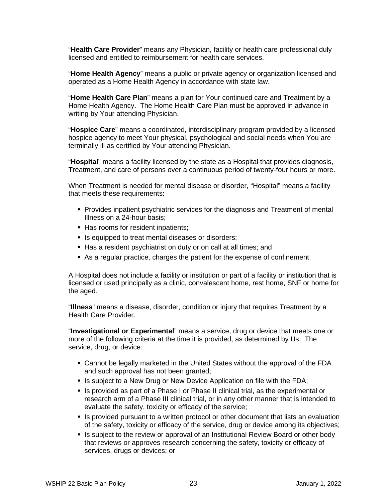"**Health Care Provider**" means any Physician, facility or health care professional duly licensed and entitled to reimbursement for health care services.

"**Home Health Agency**" means a public or private agency or organization licensed and operated as a Home Health Agency in accordance with state law.

"**Home Health Care Plan**" means a plan for Your continued care and Treatment by a Home Health Agency. The Home Health Care Plan must be approved in advance in writing by Your attending Physician.

"**Hospice Care**" means a coordinated, interdisciplinary program provided by a licensed hospice agency to meet Your physical, psychological and social needs when You are terminally ill as certified by Your attending Physician.

"**Hospital**" means a facility licensed by the state as a Hospital that provides diagnosis, Treatment, and care of persons over a continuous period of twenty-four hours or more.

When Treatment is needed for mental disease or disorder, "Hospital" means a facility that meets these requirements:

- **Provides inpatient psychiatric services for the diagnosis and Treatment of mental** Illness on a 24-hour basis;
- Has rooms for resident inpatients;
- **IF** Is equipped to treat mental diseases or disorders;
- Has a resident psychiatrist on duty or on call at all times; and
- As a regular practice, charges the patient for the expense of confinement.

A Hospital does not include a facility or institution or part of a facility or institution that is licensed or used principally as a clinic, convalescent home, rest home, SNF or home for the aged.

"**Illness**" means a disease, disorder, condition or injury that requires Treatment by a Health Care Provider.

"**Investigational or Experimental**" means a service, drug or device that meets one or more of the following criteria at the time it is provided, as determined by Us. The service, drug, or device:

- Cannot be legally marketed in the United States without the approval of the FDA and such approval has not been granted;
- **IS subject to a New Drug or New Device Application on file with the FDA;**
- Is provided as part of a Phase I or Phase II clinical trial, as the experimental or research arm of a Phase III clinical trial, or in any other manner that is intended to evaluate the safety, toxicity or efficacy of the service;
- **IF** Is provided pursuant to a written protocol or other document that lists an evaluation of the safety, toxicity or efficacy of the service, drug or device among its objectives;
- **IF** Is subject to the review or approval of an Institutional Review Board or other body that reviews or approves research concerning the safety, toxicity or efficacy of services, drugs or devices; or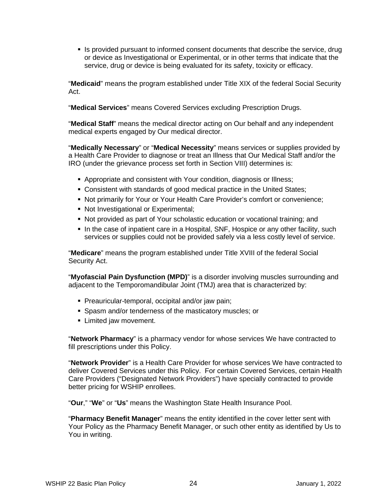Is provided pursuant to informed consent documents that describe the service, drug or device as Investigational or Experimental, or in other terms that indicate that the service, drug or device is being evaluated for its safety, toxicity or efficacy.

"**Medicaid**" means the program established under Title XIX of the federal Social Security Act.

"**Medical Services**" means Covered Services excluding Prescription Drugs.

"**Medical Staff**" means the medical director acting on Our behalf and any independent medical experts engaged by Our medical director.

"**Medically Necessary**" or "**Medical Necessity**" means services or supplies provided by a Health Care Provider to diagnose or treat an Illness that Our Medical Staff and/or the IRO (under the grievance process set forth in Section VIII) determines is:

- Appropriate and consistent with Your condition, diagnosis or Illness;
- Consistent with standards of good medical practice in the United States;
- Not primarily for Your or Your Health Care Provider's comfort or convenience;
- Not Investigational or Experimental;
- Not provided as part of Your scholastic education or vocational training; and
- In the case of inpatient care in a Hospital, SNF, Hospice or any other facility, such services or supplies could not be provided safely via a less costly level of service.

"**Medicare**" means the program established under Title XVIII of the federal Social Security Act.

"**Myofascial Pain Dysfunction (MPD)**" is a disorder involving muscles surrounding and adjacent to the Temporomandibular Joint (TMJ) area that is characterized by:

- **Preauricular-temporal, occipital and/or jaw pain;**
- **Spasm and/or tenderness of the masticatory muscles; or**
- **E** Limited jaw movement.

"**Network Pharmacy**" is a pharmacy vendor for whose services We have contracted to fill prescriptions under this Policy.

"**Network Provider**" is a Health Care Provider for whose services We have contracted to deliver Covered Services under this Policy. For certain Covered Services, certain Health Care Providers ("Designated Network Providers") have specially contracted to provide better pricing for WSHIP enrollees.

"**Our**," "**We**" or "**Us**" means the Washington State Health Insurance Pool.

"**Pharmacy Benefit Manager**" means the entity identified in the cover letter sent with Your Policy as the Pharmacy Benefit Manager, or such other entity as identified by Us to You in writing.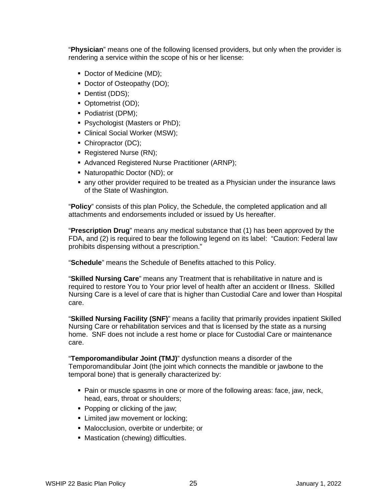"**Physician**" means one of the following licensed providers, but only when the provider is rendering a service within the scope of his or her license:

- Doctor of Medicine (MD);
- Doctor of Osteopathy (DO);
- Dentist (DDS);
- Optometrist (OD);
- Podiatrist (DPM);
- **Psychologist (Masters or PhD);**
- Clinical Social Worker (MSW);
- Chiropractor (DC);
- Registered Nurse (RN);
- Advanced Registered Nurse Practitioner (ARNP);
- Naturopathic Doctor (ND); or
- any other provider required to be treated as a Physician under the insurance laws of the State of Washington.

"**Policy**" consists of this plan Policy, the Schedule, the completed application and all attachments and endorsements included or issued by Us hereafter.

"**Prescription Drug**" means any medical substance that (1) has been approved by the FDA, and (2) is required to bear the following legend on its label: "Caution: Federal law prohibits dispensing without a prescription."

"**Schedule**" means the Schedule of Benefits attached to this Policy.

"**Skilled Nursing Care**" means any Treatment that is rehabilitative in nature and is required to restore You to Your prior level of health after an accident or Illness. Skilled Nursing Care is a level of care that is higher than Custodial Care and lower than Hospital care.

"**Skilled Nursing Facility (SNF)**" means a facility that primarily provides inpatient Skilled Nursing Care or rehabilitation services and that is licensed by the state as a nursing home. SNF does not include a rest home or place for Custodial Care or maintenance care.

"**Temporomandibular Joint (TMJ)**" dysfunction means a disorder of the Temporomandibular Joint (the joint which connects the mandible or jawbone to the temporal bone) that is generally characterized by:

- Pain or muscle spasms in one or more of the following areas: face, jaw, neck, head, ears, throat or shoulders;
- Popping or clicking of the jaw;
- **EXECUTE:** Limited jaw movement or locking;
- Malocclusion, overbite or underbite; or
- **Mastication (chewing) difficulties.**